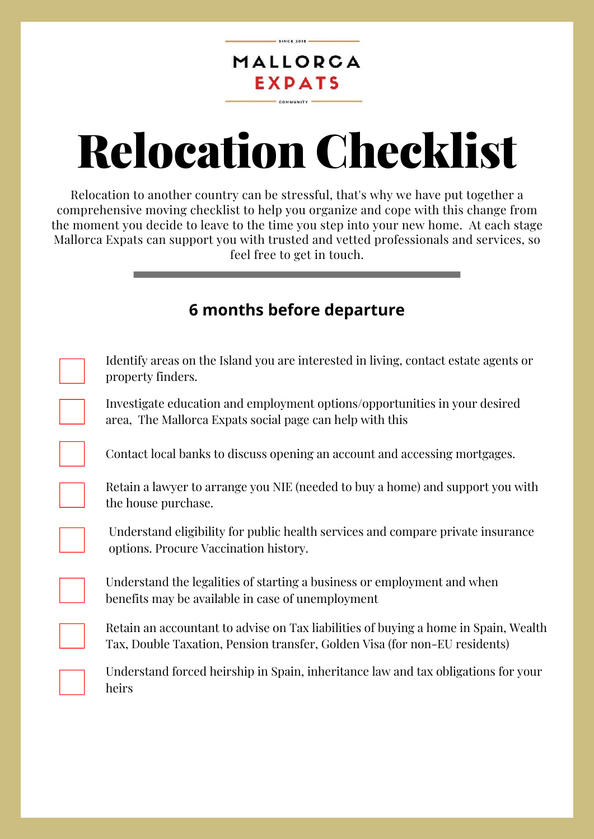#### MALLORCA EXPATS COMMUNITY

# Relocation Checklist

Relocation to another country can be stressful, that's why we have put together a comprehensive moving checklist to help you organize and cope with this change from the moment you decide to leave to the time you step into your new home. At each stage Mallorca Expats can support you with trusted and vetted professionals and services, so feel free to get in touch.

## **6 months before departure**

Identify areas on the Island you are interested in living, contact estate agents or property finders.

Investigate education and employment options/opportunities in your desired area, The Mallorca Expats social page can help with this

Contact local banks to discuss opening an account and accessing mortgages.

Retain a lawyer to arrange you NIE (needed to buy a home) and support you with the house purchase.

Understand eligibility for public health services and compare private insurance options. Procure Vaccination history.

Understand the legalities of starting a business or employment and when benefits may be available in case of unemployment

Retain an accountant to advise on Tax liabilities of buying a home in Spain, Wealth Tax, Double Taxation, Pension transfer, Golden Visa (for non-EU residents)

Understand forced heirship in Spain, inheritance law and tax obligations for your heirs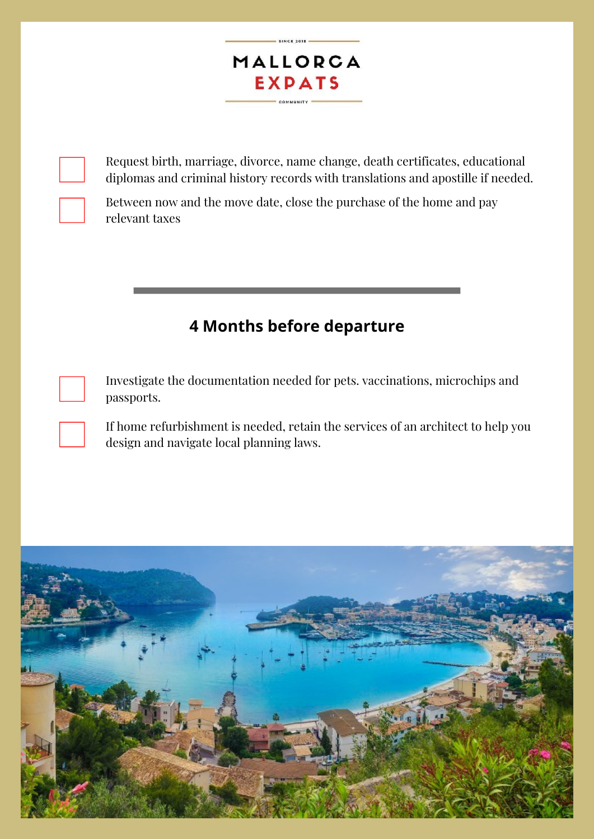

 $-$  SINCE 2015

Request birth, marriage, divorce, name change, death certificates, educational diplomas and criminal history records with translations and apostille if needed.

Between now and the move date, close the purchase of the home and pay relevant taxes

## **4 Months before departure**

Investigate the documentation needed for pets. vaccinations, microchips and passports.

If home refurbishment is needed, retain the services of an architect to help you design and navigate local planning laws.

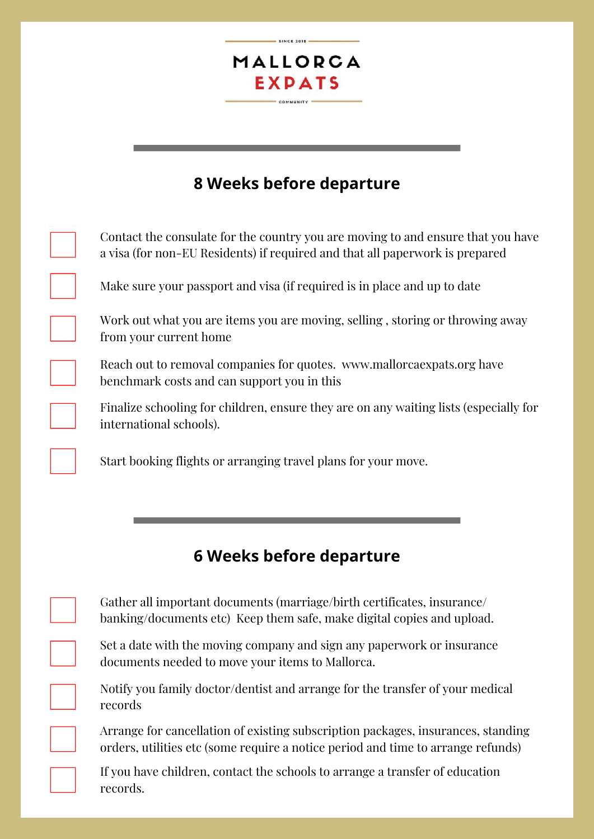### MALLORCA **EXPATS** COMMUNITY

# **8 Weeks before departure**

|                         | Contact the consulate for the country you are moving to and ensure that you have<br>a visa (for non-EU Residents) if required and that all paperwork is prepared |
|-------------------------|------------------------------------------------------------------------------------------------------------------------------------------------------------------|
|                         | Make sure your passport and visa (if required is in place and up to date                                                                                         |
| from your current home  | Work out what you are items you are moving, selling, storing or throwing away                                                                                    |
|                         | Reach out to removal companies for quotes. www.mallorca expats.org have<br>benchmark costs and can support you in this                                           |
| international schools). | Finalize schooling for children, ensure they are on any waiting lists (especially for                                                                            |
|                         |                                                                                                                                                                  |
|                         | 6 Weeks before departure                                                                                                                                         |
|                         | Gather all important documents (marriage/birth certificates, insurance/<br>banking/documents etc) Keep them safe, make digital copies and upload.                |
|                         | Set a date with the moving company and sign any paperwork or insurance<br>documents needed to move your items to Mallorca.                                       |
| records                 | Notify you family doctor/dentist and arrange for the transfer of your medical                                                                                    |

If you have children, contact the schools to arrange a transfer of education records.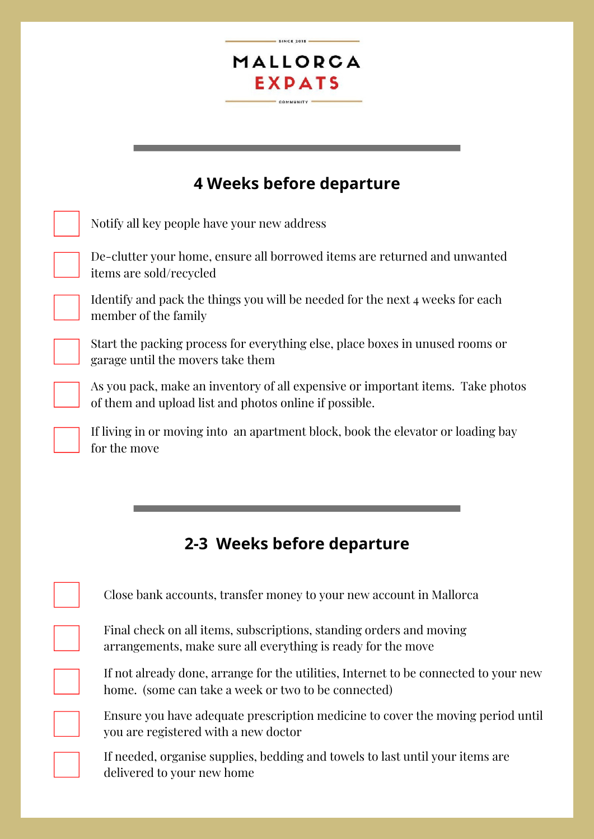#### MALLORCA **EXPATS** COMMUNITY -

 $SINCE 2015$ 

## **4 Weeks before departure**

Notify all key people have your new address

De-clutter your home, ensure all borrowed items are returned and unwanted items are sold/recycled

Identify and pack the things you will be needed for the next 4 weeks for each member of the family

Start the packing process for everything else, place boxes in unused rooms or garage until the movers take them

As you pack, make an inventory of all expensive or important items. Take photos of them and upload list and photos online if possible.

If living in or moving into an apartment block, book the elevator or loading bay for the move

## **2-3 Weeks before departure**

| Close bank accounts, transfer money to your new account in Mallorca                                                                         |
|---------------------------------------------------------------------------------------------------------------------------------------------|
| Final check on all items, subscriptions, standing orders and moving<br>arrangements, make sure all everything is ready for the move         |
| If not already done, arrange for the utilities, Internet to be connected to your new<br>home. (some can take a week or two to be connected) |
| Ensure you have adequate prescription medicine to cover the moving period until<br>you are registered with a new doctor                     |
| If needed, organise supplies, bedding and towels to last until your items are<br>delivered to your new home                                 |

delivered to your new home